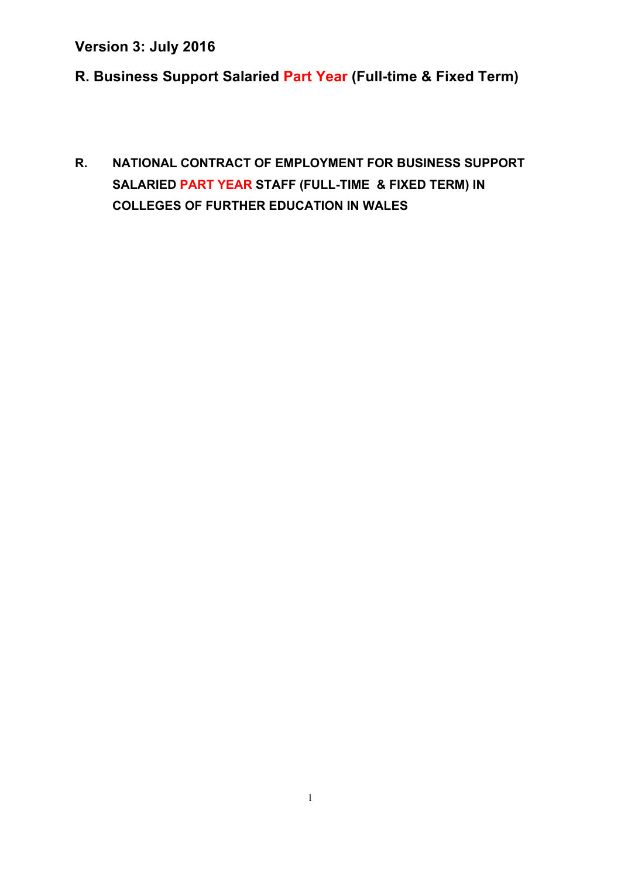**R. Business Support Salaried Part Year (Full-time & Fixed Term)** 

**R. NATIONAL CONTRACT OF EMPLOYMENT FOR BUSINESS SUPPORT SALARIED PART YEAR STAFF (FULL-TIME & FIXED TERM) IN COLLEGES OF FURTHER EDUCATION IN WALES**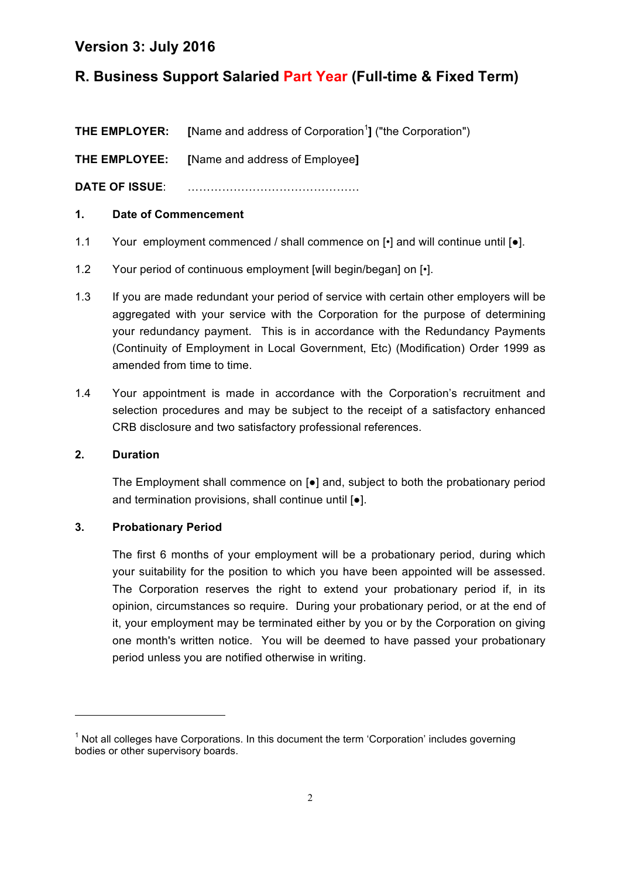## **R. Business Support Salaried Part Year (Full-time & Fixed Term)**

**THE EMPLOYER:** [Name and address of Corporation<sup>1</sup>] ("the Corporation")

**THE EMPLOYEE: [**Name and address of Employee**]**

**DATE OF ISSUE**: ………………………………………

### **1. Date of Commencement**

- 1.1 Your employment commenced / shall commence on [•] and will continue until [●].
- 1.2 Your period of continuous employment [will begin/began] on [•].
- 1.3 If you are made redundant your period of service with certain other employers will be aggregated with your service with the Corporation for the purpose of determining your redundancy payment. This is in accordance with the Redundancy Payments (Continuity of Employment in Local Government, Etc) (Modification) Order 1999 as amended from time to time.
- 1.4 Your appointment is made in accordance with the Corporation's recruitment and selection procedures and may be subject to the receipt of a satisfactory enhanced CRB disclosure and two satisfactory professional references.

### **2. Duration**

The Employment shall commence on  $\lceil \bullet \rceil$  and, subject to both the probationary period and termination provisions, shall continue until [●].

### **3. Probationary Period**

<u> 1989 - Jan Samuel Barbara, margaret e</u>

The first 6 months of your employment will be a probationary period, during which your suitability for the position to which you have been appointed will be assessed. The Corporation reserves the right to extend your probationary period if, in its opinion, circumstances so require. During your probationary period, or at the end of it, your employment may be terminated either by you or by the Corporation on giving one month's written notice. You will be deemed to have passed your probationary period unless you are notified otherwise in writing.

 $<sup>1</sup>$  Not all colleges have Corporations. In this document the term 'Corporation' includes governing</sup> bodies or other supervisory boards.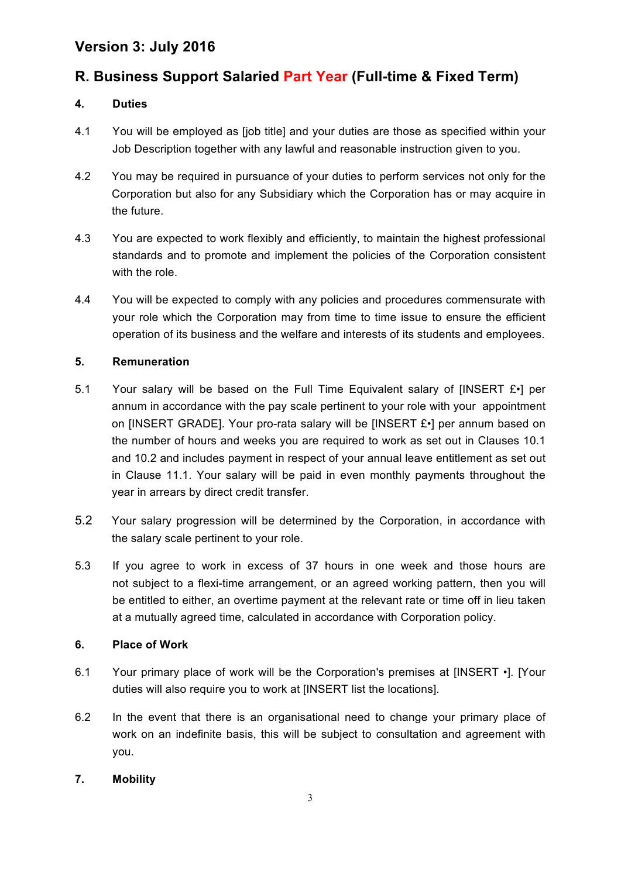## **R. Business Support Salaried Part Year (Full-time & Fixed Term)**

### **4. Duties**

- 4.1 You will be employed as [job title] and your duties are those as specified within your Job Description together with any lawful and reasonable instruction given to you.
- 4.2 You may be required in pursuance of your duties to perform services not only for the Corporation but also for any Subsidiary which the Corporation has or may acquire in the future.
- 4.3 You are expected to work flexibly and efficiently, to maintain the highest professional standards and to promote and implement the policies of the Corporation consistent with the role.
- 4.4 You will be expected to comply with any policies and procedures commensurate with your role which the Corporation may from time to time issue to ensure the efficient operation of its business and the welfare and interests of its students and employees.

### **5. Remuneration**

- 5.1 Your salary will be based on the Full Time Equivalent salary of [INSERT  $E \cdot$ ] per annum in accordance with the pay scale pertinent to your role with your appointment on [INSERT GRADE]. Your pro-rata salary will be [INSERT £•] per annum based on the number of hours and weeks you are required to work as set out in Clauses 10.1 and 10.2 and includes payment in respect of your annual leave entitlement as set out in Clause 11.1. Your salary will be paid in even monthly payments throughout the year in arrears by direct credit transfer.
- 5.2 Your salary progression will be determined by the Corporation, in accordance with the salary scale pertinent to your role.
- 5.3 If you agree to work in excess of 37 hours in one week and those hours are not subject to a flexi-time arrangement, or an agreed working pattern, then you will be entitled to either, an overtime payment at the relevant rate or time off in lieu taken at a mutually agreed time, calculated in accordance with Corporation policy.

### **6. Place of Work**

- 6.1 Your primary place of work will be the Corporation's premises at [INSERT •]. [Your duties will also require you to work at [INSERT list the locations].
- 6.2 In the event that there is an organisational need to change your primary place of work on an indefinite basis, this will be subject to consultation and agreement with you.

### **7. Mobility**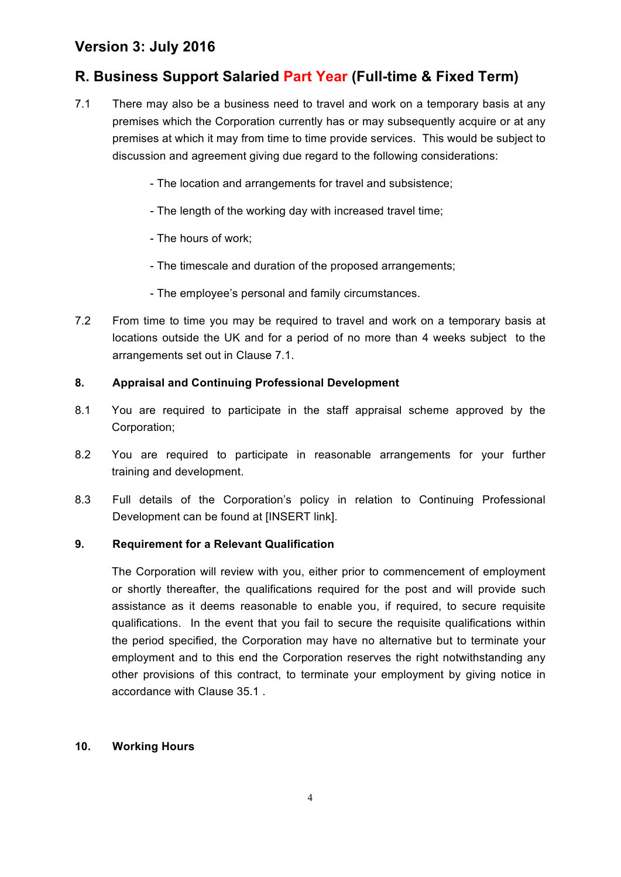## **R. Business Support Salaried Part Year (Full-time & Fixed Term)**

- 7.1 There may also be a business need to travel and work on a temporary basis at any premises which the Corporation currently has or may subsequently acquire or at any premises at which it may from time to time provide services. This would be subject to discussion and agreement giving due regard to the following considerations:
	- The location and arrangements for travel and subsistence;
	- The length of the working day with increased travel time;
	- The hours of work;
	- The timescale and duration of the proposed arrangements;
	- The employee's personal and family circumstances.
- 7.2 From time to time you may be required to travel and work on a temporary basis at locations outside the UK and for a period of no more than 4 weeks subject to the arrangements set out in Clause 7.1.

### **8. Appraisal and Continuing Professional Development**

- 8.1 You are required to participate in the staff appraisal scheme approved by the Corporation;
- 8.2 You are required to participate in reasonable arrangements for your further training and development.
- 8.3 Full details of the Corporation's policy in relation to Continuing Professional Development can be found at [INSERT link].

### **9. Requirement for a Relevant Qualification**

The Corporation will review with you, either prior to commencement of employment or shortly thereafter, the qualifications required for the post and will provide such assistance as it deems reasonable to enable you, if required, to secure requisite qualifications. In the event that you fail to secure the requisite qualifications within the period specified, the Corporation may have no alternative but to terminate your employment and to this end the Corporation reserves the right notwithstanding any other provisions of this contract, to terminate your employment by giving notice in accordance with Clause 35.1 .

### **10. Working Hours**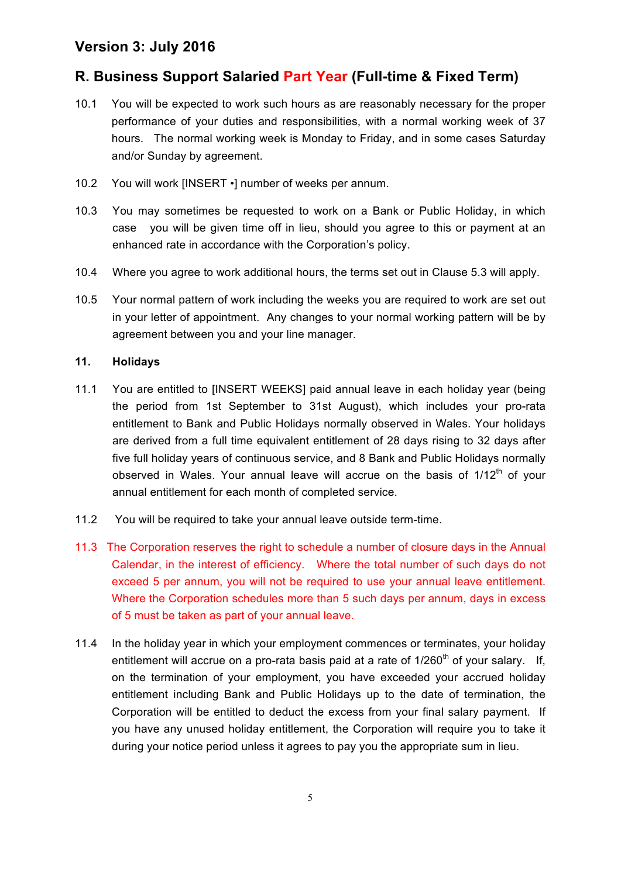## **R. Business Support Salaried Part Year (Full-time & Fixed Term)**

- 10.1 You will be expected to work such hours as are reasonably necessary for the proper performance of your duties and responsibilities, with a normal working week of 37 hours. The normal working week is Monday to Friday, and in some cases Saturday and/or Sunday by agreement.
- 10.2 You will work [INSERT •] number of weeks per annum.
- 10.3 You may sometimes be requested to work on a Bank or Public Holiday, in which case you will be given time off in lieu, should you agree to this or payment at an enhanced rate in accordance with the Corporation's policy.
- 10.4 Where you agree to work additional hours, the terms set out in Clause 5.3 will apply.
- 10.5 Your normal pattern of work including the weeks you are required to work are set out in your letter of appointment. Any changes to your normal working pattern will be by agreement between you and your line manager.

#### **11. Holidays**

- 11.1 You are entitled to [INSERT WEEKS] paid annual leave in each holiday year (being the period from 1st September to 31st August), which includes your pro-rata entitlement to Bank and Public Holidays normally observed in Wales. Your holidays are derived from a full time equivalent entitlement of 28 days rising to 32 days after five full holiday years of continuous service, and 8 Bank and Public Holidays normally observed in Wales. Your annual leave will accrue on the basis of  $1/12<sup>th</sup>$  of your annual entitlement for each month of completed service.
- 11.2 You will be required to take your annual leave outside term-time.
- 11.3 The Corporation reserves the right to schedule a number of closure days in the Annual Calendar, in the interest of efficiency. Where the total number of such days do not exceed 5 per annum, you will not be required to use your annual leave entitlement. Where the Corporation schedules more than 5 such days per annum, days in excess of 5 must be taken as part of your annual leave.
- 11.4 In the holiday year in which your employment commences or terminates, your holiday entitlement will accrue on a pro-rata basis paid at a rate of  $1/260<sup>th</sup>$  of your salary. If, on the termination of your employment, you have exceeded your accrued holiday entitlement including Bank and Public Holidays up to the date of termination, the Corporation will be entitled to deduct the excess from your final salary payment. If you have any unused holiday entitlement, the Corporation will require you to take it during your notice period unless it agrees to pay you the appropriate sum in lieu.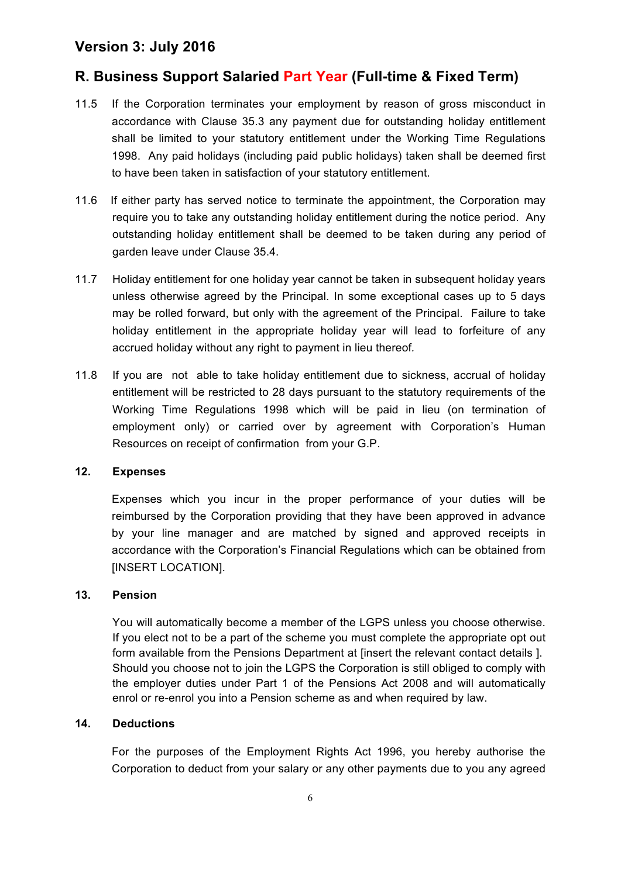## **R. Business Support Salaried Part Year (Full-time & Fixed Term)**

- 11.5 If the Corporation terminates your employment by reason of gross misconduct in accordance with Clause 35.3 any payment due for outstanding holiday entitlement shall be limited to your statutory entitlement under the Working Time Regulations 1998. Any paid holidays (including paid public holidays) taken shall be deemed first to have been taken in satisfaction of your statutory entitlement.
- 11.6 If either party has served notice to terminate the appointment, the Corporation may require you to take any outstanding holiday entitlement during the notice period. Any outstanding holiday entitlement shall be deemed to be taken during any period of garden leave under Clause 35.4.
- 11.7 Holiday entitlement for one holiday year cannot be taken in subsequent holiday years unless otherwise agreed by the Principal. In some exceptional cases up to 5 days may be rolled forward, but only with the agreement of the Principal. Failure to take holiday entitlement in the appropriate holiday year will lead to forfeiture of any accrued holiday without any right to payment in lieu thereof*.*
- 11.8 If you are not able to take holiday entitlement due to sickness, accrual of holiday entitlement will be restricted to 28 days pursuant to the statutory requirements of the Working Time Regulations 1998 which will be paid in lieu (on termination of employment only) or carried over by agreement with Corporation's Human Resources on receipt of confirmation from your G.P.

### **12. Expenses**

Expenses which you incur in the proper performance of your duties will be reimbursed by the Corporation providing that they have been approved in advance by your line manager and are matched by signed and approved receipts in accordance with the Corporation's Financial Regulations which can be obtained from [INSERT LOCATION].

### **13. Pension**

You will automatically become a member of the LGPS unless you choose otherwise. If you elect not to be a part of the scheme you must complete the appropriate opt out form available from the Pensions Department at [insert the relevant contact details ]. Should you choose not to join the LGPS the Corporation is still obliged to comply with the employer duties under Part 1 of the Pensions Act 2008 and will automatically enrol or re-enrol you into a Pension scheme as and when required by law.

### **14. Deductions**

For the purposes of the Employment Rights Act 1996, you hereby authorise the Corporation to deduct from your salary or any other payments due to you any agreed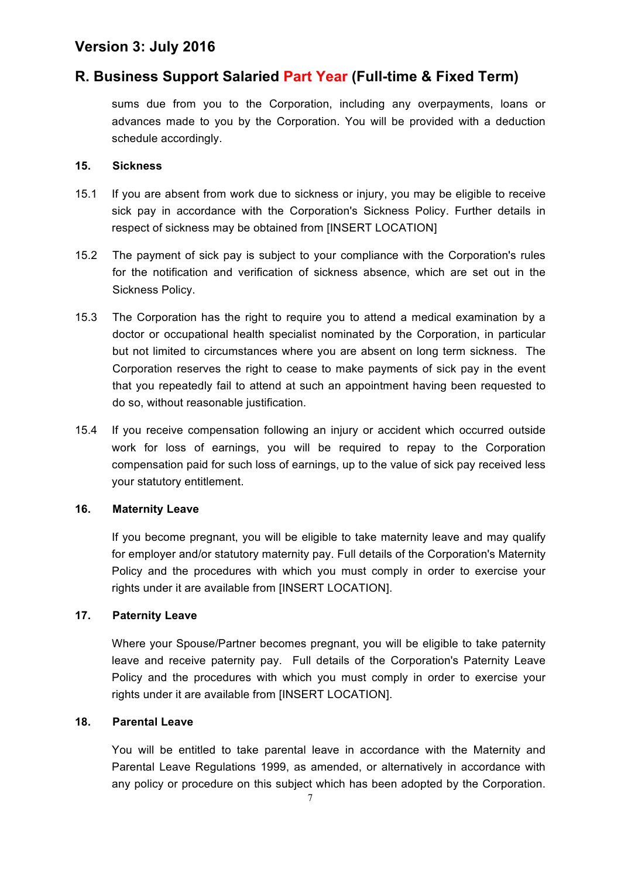## **R. Business Support Salaried Part Year (Full-time & Fixed Term)**

sums due from you to the Corporation, including any overpayments, loans or advances made to you by the Corporation. You will be provided with a deduction schedule accordingly.

#### **15. Sickness**

- 15.1 If you are absent from work due to sickness or injury, you may be eligible to receive sick pay in accordance with the Corporation's Sickness Policy. Further details in respect of sickness may be obtained from [INSERT LOCATION]
- 15.2 The payment of sick pay is subject to your compliance with the Corporation's rules for the notification and verification of sickness absence, which are set out in the Sickness Policy.
- 15.3 The Corporation has the right to require you to attend a medical examination by a doctor or occupational health specialist nominated by the Corporation, in particular but not limited to circumstances where you are absent on long term sickness. The Corporation reserves the right to cease to make payments of sick pay in the event that you repeatedly fail to attend at such an appointment having been requested to do so, without reasonable justification.
- 15.4 If you receive compensation following an injury or accident which occurred outside work for loss of earnings, you will be required to repay to the Corporation compensation paid for such loss of earnings, up to the value of sick pay received less your statutory entitlement.

### **16. Maternity Leave**

If you become pregnant, you will be eligible to take maternity leave and may qualify for employer and/or statutory maternity pay. Full details of the Corporation's Maternity Policy and the procedures with which you must comply in order to exercise your rights under it are available from [INSERT LOCATION].

### **17. Paternity Leave**

Where your Spouse/Partner becomes pregnant, you will be eligible to take paternity leave and receive paternity pay. Full details of the Corporation's Paternity Leave Policy and the procedures with which you must comply in order to exercise your rights under it are available from [INSERT LOCATION].

### **18. Parental Leave**

You will be entitled to take parental leave in accordance with the Maternity and Parental Leave Regulations 1999, as amended, or alternatively in accordance with any policy or procedure on this subject which has been adopted by the Corporation.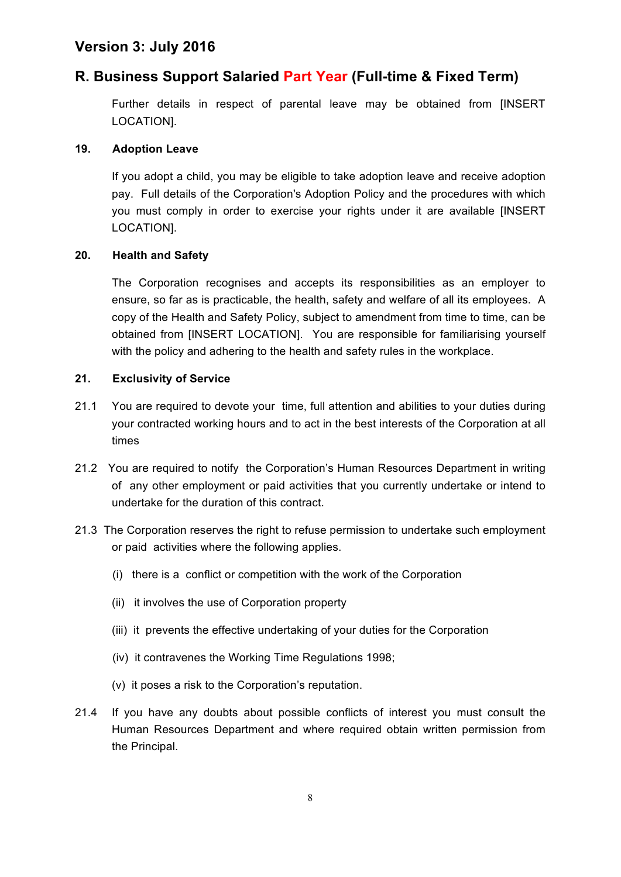## **R. Business Support Salaried Part Year (Full-time & Fixed Term)**

Further details in respect of parental leave may be obtained from [INSERT LOCATION].

#### **19. Adoption Leave**

If you adopt a child, you may be eligible to take adoption leave and receive adoption pay. Full details of the Corporation's Adoption Policy and the procedures with which you must comply in order to exercise your rights under it are available [INSERT LOCATION].

#### **20. Health and Safety**

The Corporation recognises and accepts its responsibilities as an employer to ensure, so far as is practicable, the health, safety and welfare of all its employees. A copy of the Health and Safety Policy, subject to amendment from time to time, can be obtained from [INSERT LOCATION]. You are responsible for familiarising yourself with the policy and adhering to the health and safety rules in the workplace.

### **21. Exclusivity of Service**

- 21.1 You are required to devote your time, full attention and abilities to your duties during your contracted working hours and to act in the best interests of the Corporation at all times
- 21.2 You are required to notify the Corporation's Human Resources Department in writing of any other employment or paid activities that you currently undertake or intend to undertake for the duration of this contract.
- 21.3 The Corporation reserves the right to refuse permission to undertake such employment or paid activities where the following applies.
	- (i) there is a conflict or competition with the work of the Corporation
	- (ii) it involves the use of Corporation property
	- (iii) it prevents the effective undertaking of your duties for the Corporation
	- (iv) it contravenes the Working Time Regulations 1998;
	- (v) it poses a risk to the Corporation's reputation.
- 21.4 If you have any doubts about possible conflicts of interest you must consult the Human Resources Department and where required obtain written permission from the Principal.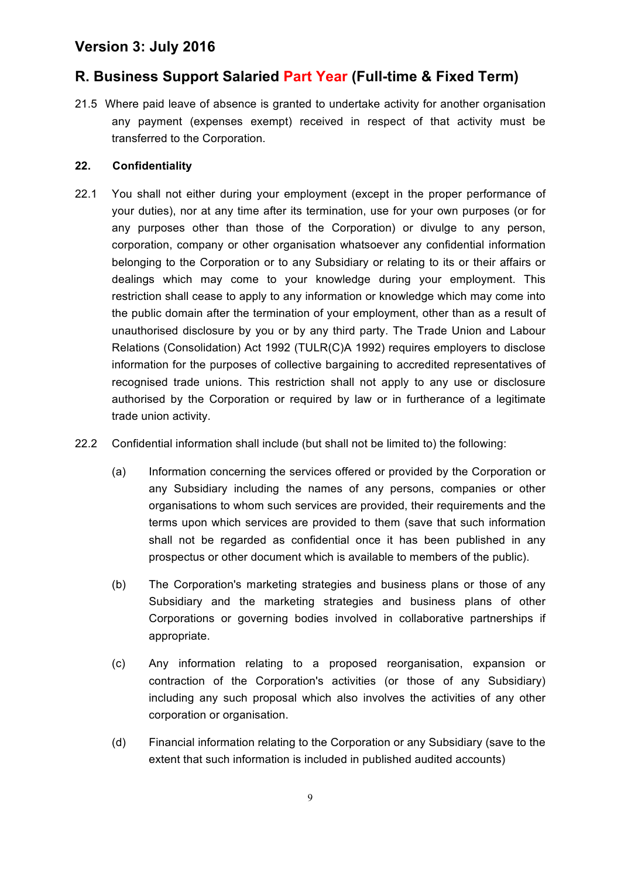## **R. Business Support Salaried Part Year (Full-time & Fixed Term)**

21.5 Where paid leave of absence is granted to undertake activity for another organisation any payment (expenses exempt) received in respect of that activity must be transferred to the Corporation.

### **22. Confidentiality**

- 22.1 You shall not either during your employment (except in the proper performance of your duties), nor at any time after its termination, use for your own purposes (or for any purposes other than those of the Corporation) or divulge to any person, corporation, company or other organisation whatsoever any confidential information belonging to the Corporation or to any Subsidiary or relating to its or their affairs or dealings which may come to your knowledge during your employment. This restriction shall cease to apply to any information or knowledge which may come into the public domain after the termination of your employment, other than as a result of unauthorised disclosure by you or by any third party. The Trade Union and Labour Relations (Consolidation) Act 1992 (TULR(C)A 1992) requires employers to disclose information for the purposes of collective bargaining to accredited representatives of recognised trade unions. This restriction shall not apply to any use or disclosure authorised by the Corporation or required by law or in furtherance of a legitimate trade union activity.
- 22.2 Confidential information shall include (but shall not be limited to) the following:
	- (a) Information concerning the services offered or provided by the Corporation or any Subsidiary including the names of any persons, companies or other organisations to whom such services are provided, their requirements and the terms upon which services are provided to them (save that such information shall not be regarded as confidential once it has been published in any prospectus or other document which is available to members of the public).
	- (b) The Corporation's marketing strategies and business plans or those of any Subsidiary and the marketing strategies and business plans of other Corporations or governing bodies involved in collaborative partnerships if appropriate.
	- (c) Any information relating to a proposed reorganisation, expansion or contraction of the Corporation's activities (or those of any Subsidiary) including any such proposal which also involves the activities of any other corporation or organisation.
	- (d) Financial information relating to the Corporation or any Subsidiary (save to the extent that such information is included in published audited accounts)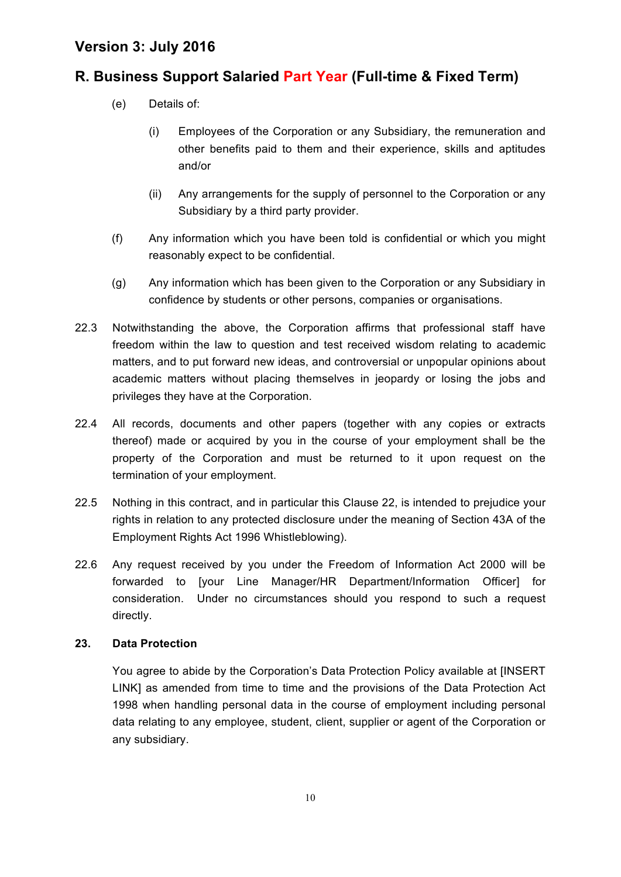## **R. Business Support Salaried Part Year (Full-time & Fixed Term)**

- (e) Details of:
	- (i) Employees of the Corporation or any Subsidiary, the remuneration and other benefits paid to them and their experience, skills and aptitudes and/or
	- (ii) Any arrangements for the supply of personnel to the Corporation or any Subsidiary by a third party provider.
- (f) Any information which you have been told is confidential or which you might reasonably expect to be confidential.
- (g) Any information which has been given to the Corporation or any Subsidiary in confidence by students or other persons, companies or organisations.
- 22.3 Notwithstanding the above, the Corporation affirms that professional staff have freedom within the law to question and test received wisdom relating to academic matters, and to put forward new ideas, and controversial or unpopular opinions about academic matters without placing themselves in jeopardy or losing the jobs and privileges they have at the Corporation.
- 22.4 All records, documents and other papers (together with any copies or extracts thereof) made or acquired by you in the course of your employment shall be the property of the Corporation and must be returned to it upon request on the termination of your employment.
- 22.5 Nothing in this contract, and in particular this Clause 22, is intended to prejudice your rights in relation to any protected disclosure under the meaning of Section 43A of the Employment Rights Act 1996 Whistleblowing).
- 22.6 Any request received by you under the Freedom of Information Act 2000 will be forwarded to [your Line Manager/HR Department/Information Officer] for consideration. Under no circumstances should you respond to such a request directly.

### **23. Data Protection**

You agree to abide by the Corporation's Data Protection Policy available at [INSERT LINK] as amended from time to time and the provisions of the Data Protection Act 1998 when handling personal data in the course of employment including personal data relating to any employee, student, client, supplier or agent of the Corporation or any subsidiary.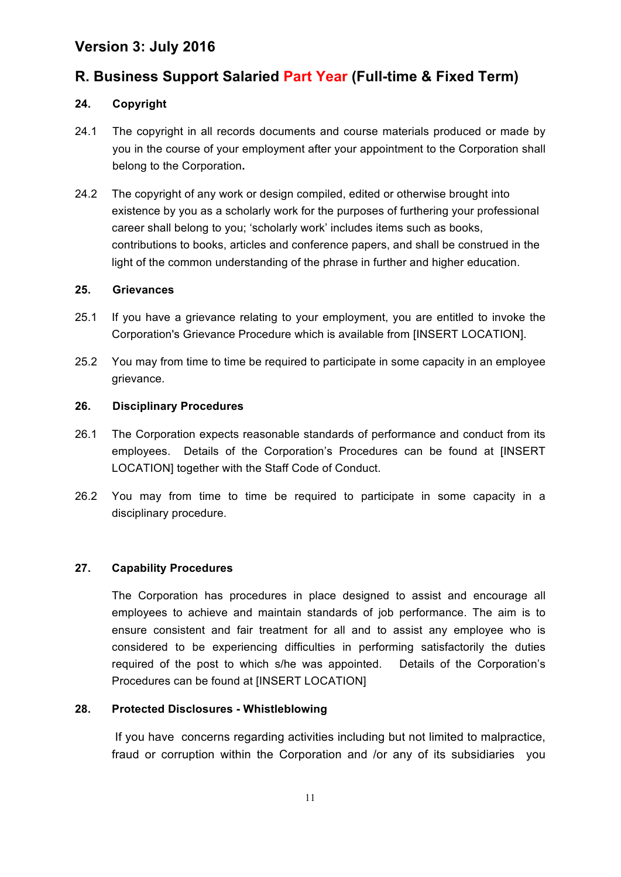## **R. Business Support Salaried Part Year (Full-time & Fixed Term)**

### **24. Copyright**

- 24.1 The copyright in all records documents and course materials produced or made by you in the course of your employment after your appointment to the Corporation shall belong to the Corporation**.**
- 24.2 The copyright of any work or design compiled, edited or otherwise brought into existence by you as a scholarly work for the purposes of furthering your professional career shall belong to you; 'scholarly work' includes items such as books, contributions to books, articles and conference papers, and shall be construed in the light of the common understanding of the phrase in further and higher education.

### **25. Grievances**

- 25.1 If you have a grievance relating to your employment, you are entitled to invoke the Corporation's Grievance Procedure which is available from [INSERT LOCATION].
- 25.2 You may from time to time be required to participate in some capacity in an employee grievance.

### **26. Disciplinary Procedures**

- 26.1 The Corporation expects reasonable standards of performance and conduct from its employees. Details of the Corporation's Procedures can be found at [INSERT LOCATION] together with the Staff Code of Conduct.
- 26.2 You may from time to time be required to participate in some capacity in a disciplinary procedure.

### **27. Capability Procedures**

The Corporation has procedures in place designed to assist and encourage all employees to achieve and maintain standards of job performance. The aim is to ensure consistent and fair treatment for all and to assist any employee who is considered to be experiencing difficulties in performing satisfactorily the duties required of the post to which s/he was appointed. Details of the Corporation's Procedures can be found at IINSERT LOCATIONI

### **28. Protected Disclosures - Whistleblowing**

If you have concerns regarding activities including but not limited to malpractice, fraud or corruption within the Corporation and /or any of its subsidiaries you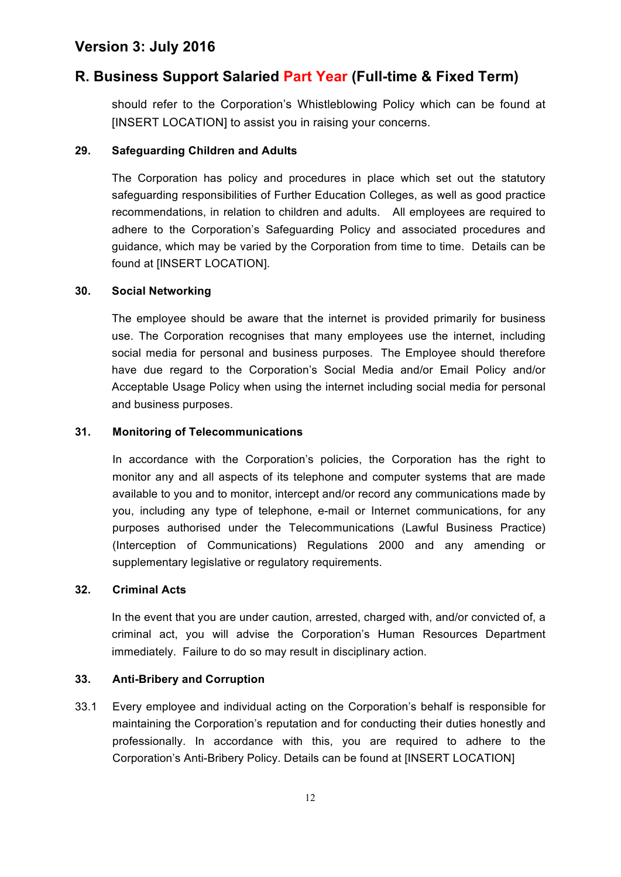## **R. Business Support Salaried Part Year (Full-time & Fixed Term)**

should refer to the Corporation's Whistleblowing Policy which can be found at [INSERT LOCATION] to assist you in raising your concerns.

### **29. Safeguarding Children and Adults**

The Corporation has policy and procedures in place which set out the statutory safeguarding responsibilities of Further Education Colleges, as well as good practice recommendations, in relation to children and adults. All employees are required to adhere to the Corporation's Safeguarding Policy and associated procedures and guidance, which may be varied by the Corporation from time to time. Details can be found at [INSERT LOCATION].

#### **30. Social Networking**

The employee should be aware that the internet is provided primarily for business use. The Corporation recognises that many employees use the internet, including social media for personal and business purposes. The Employee should therefore have due regard to the Corporation's Social Media and/or Email Policy and/or Acceptable Usage Policy when using the internet including social media for personal and business purposes.

### **31. Monitoring of Telecommunications**

In accordance with the Corporation's policies, the Corporation has the right to monitor any and all aspects of its telephone and computer systems that are made available to you and to monitor, intercept and/or record any communications made by you, including any type of telephone, e-mail or Internet communications, for any purposes authorised under the Telecommunications (Lawful Business Practice) (Interception of Communications) Regulations 2000 and any amending or supplementary legislative or regulatory requirements.

#### **32. Criminal Acts**

In the event that you are under caution, arrested, charged with, and/or convicted of, a criminal act, you will advise the Corporation's Human Resources Department immediately. Failure to do so may result in disciplinary action.

### **33. Anti-Bribery and Corruption**

33.1 Every employee and individual acting on the Corporation's behalf is responsible for maintaining the Corporation's reputation and for conducting their duties honestly and professionally. In accordance with this, you are required to adhere to the Corporation's Anti-Bribery Policy. Details can be found at [INSERT LOCATION]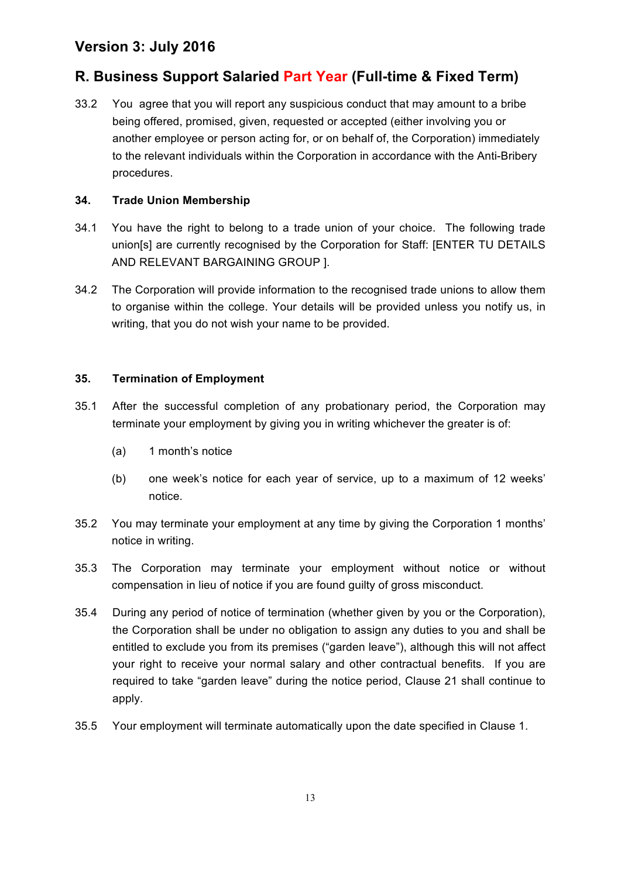# **R. Business Support Salaried Part Year (Full-time & Fixed Term)**

33.2 You agree that you will report any suspicious conduct that may amount to a bribe being offered, promised, given, requested or accepted (either involving you or another employee or person acting for, or on behalf of, the Corporation) immediately to the relevant individuals within the Corporation in accordance with the Anti-Bribery procedures.

### **34. Trade Union Membership**

- 34.1 You have the right to belong to a trade union of your choice. The following trade union[s] are currently recognised by the Corporation for Staff: [ENTER TU DETAILS AND RELEVANT BARGAINING GROUP ].
- 34.2 The Corporation will provide information to the recognised trade unions to allow them to organise within the college. Your details will be provided unless you notify us, in writing, that you do not wish your name to be provided.

### **35. Termination of Employment**

- 35.1 After the successful completion of any probationary period, the Corporation may terminate your employment by giving you in writing whichever the greater is of:
	- (a) 1 month's notice
	- (b) one week's notice for each year of service, up to a maximum of 12 weeks' notice.
- 35.2 You may terminate your employment at any time by giving the Corporation 1 months' notice in writing.
- 35.3 The Corporation may terminate your employment without notice or without compensation in lieu of notice if you are found guilty of gross misconduct.
- 35.4 During any period of notice of termination (whether given by you or the Corporation), the Corporation shall be under no obligation to assign any duties to you and shall be entitled to exclude you from its premises ("garden leave"), although this will not affect your right to receive your normal salary and other contractual benefits. If you are required to take "garden leave" during the notice period, Clause 21 shall continue to apply.
- 35.5 Your employment will terminate automatically upon the date specified in Clause 1.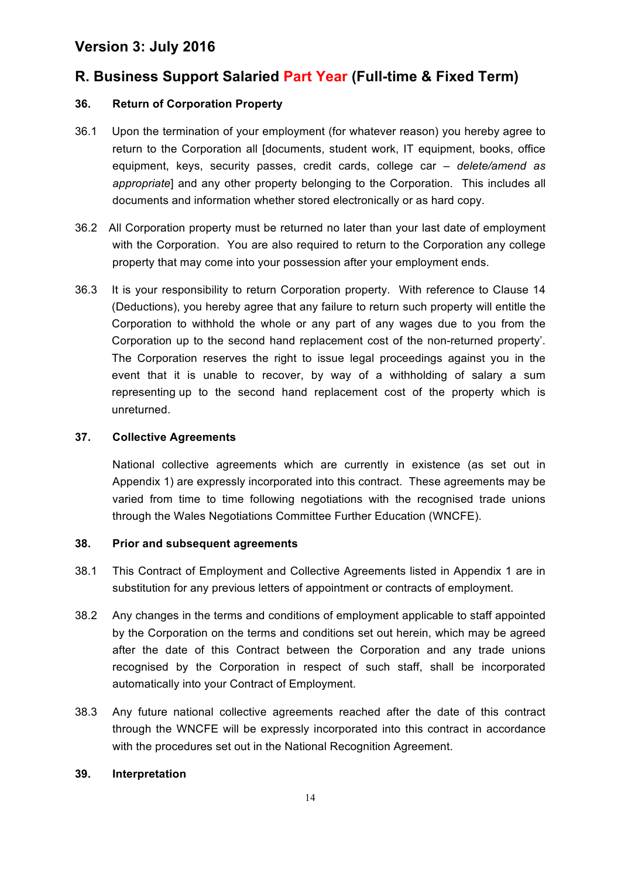## **R. Business Support Salaried Part Year (Full-time & Fixed Term)**

### **36. Return of Corporation Property**

- 36.1 Upon the termination of your employment (for whatever reason) you hereby agree to return to the Corporation all [documents, student work, IT equipment, books, office equipment, keys, security passes, credit cards, college car *– delete/amend as appropriate*] and any other property belonging to the Corporation. This includes all documents and information whether stored electronically or as hard copy.
- 36.2 All Corporation property must be returned no later than your last date of employment with the Corporation. You are also required to return to the Corporation any college property that may come into your possession after your employment ends.
- 36.3 It is your responsibility to return Corporation property. With reference to Clause 14 (Deductions), you hereby agree that any failure to return such property will entitle the Corporation to withhold the whole or any part of any wages due to you from the Corporation up to the second hand replacement cost of the non-returned property'. The Corporation reserves the right to issue legal proceedings against you in the event that it is unable to recover, by way of a withholding of salary a sum representing up to the second hand replacement cost of the property which is unreturned.

### **37. Collective Agreements**

National collective agreements which are currently in existence (as set out in Appendix 1) are expressly incorporated into this contract. These agreements may be varied from time to time following negotiations with the recognised trade unions through the Wales Negotiations Committee Further Education (WNCFE).

### **38. Prior and subsequent agreements**

- 38.1 This Contract of Employment and Collective Agreements listed in Appendix 1 are in substitution for any previous letters of appointment or contracts of employment.
- 38.2 Any changes in the terms and conditions of employment applicable to staff appointed by the Corporation on the terms and conditions set out herein, which may be agreed after the date of this Contract between the Corporation and any trade unions recognised by the Corporation in respect of such staff, shall be incorporated automatically into your Contract of Employment.
- 38.3 Any future national collective agreements reached after the date of this contract through the WNCFE will be expressly incorporated into this contract in accordance with the procedures set out in the National Recognition Agreement.

### **39. Interpretation**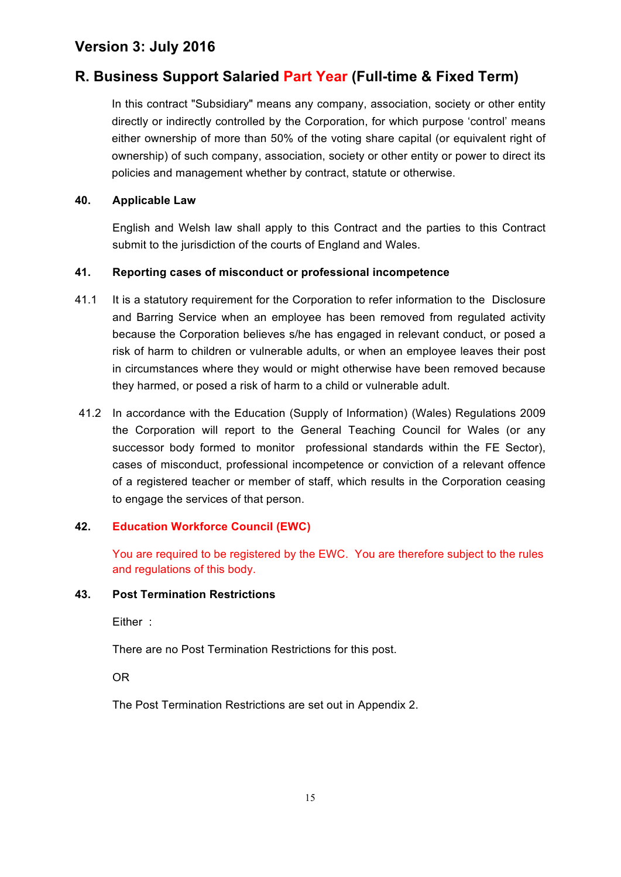## **R. Business Support Salaried Part Year (Full-time & Fixed Term)**

In this contract "Subsidiary" means any company, association, society or other entity directly or indirectly controlled by the Corporation, for which purpose 'control' means either ownership of more than 50% of the voting share capital (or equivalent right of ownership) of such company, association, society or other entity or power to direct its policies and management whether by contract, statute or otherwise.

### **40. Applicable Law**

English and Welsh law shall apply to this Contract and the parties to this Contract submit to the jurisdiction of the courts of England and Wales.

### **41. Reporting cases of misconduct or professional incompetence**

- 41.1 It is a statutory requirement for the Corporation to refer information to the Disclosure and Barring Service when an employee has been removed from regulated activity because the Corporation believes s/he has engaged in relevant conduct, or posed a risk of harm to children or vulnerable adults, or when an employee leaves their post in circumstances where they would or might otherwise have been removed because they harmed, or posed a risk of harm to a child or vulnerable adult.
- 41.2 In accordance with the Education (Supply of Information) (Wales) Regulations 2009 the Corporation will report to the General Teaching Council for Wales (or any successor body formed to monitor professional standards within the FE Sector), cases of misconduct, professional incompetence or conviction of a relevant offence of a registered teacher or member of staff, which results in the Corporation ceasing to engage the services of that person.

### **42. Education Workforce Council (EWC)**

You are required to be registered by the EWC. You are therefore subject to the rules and regulations of this body.

### **43. Post Termination Restrictions**

Either :

There are no Post Termination Restrictions for this post.

OR

The Post Termination Restrictions are set out in Appendix 2.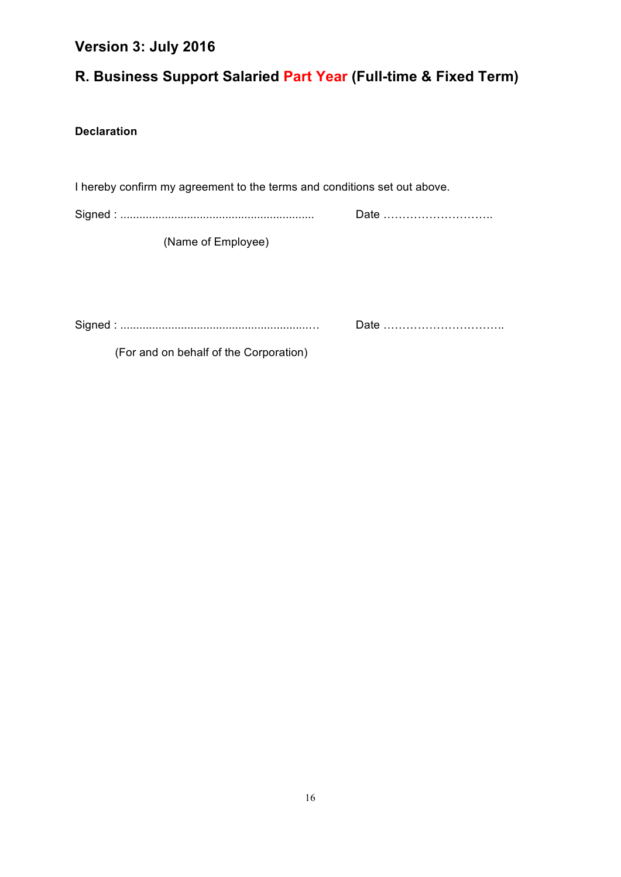# **R. Business Support Salaried Part Year (Full-time & Fixed Term)**

### **Declaration**

I hereby confirm my agreement to the terms and conditions set out above.

Signed : ............................................................. Date ………………………..

(Name of Employee)

Signed : ...........................................................… Date …………………………..

(For and on behalf of the Corporation)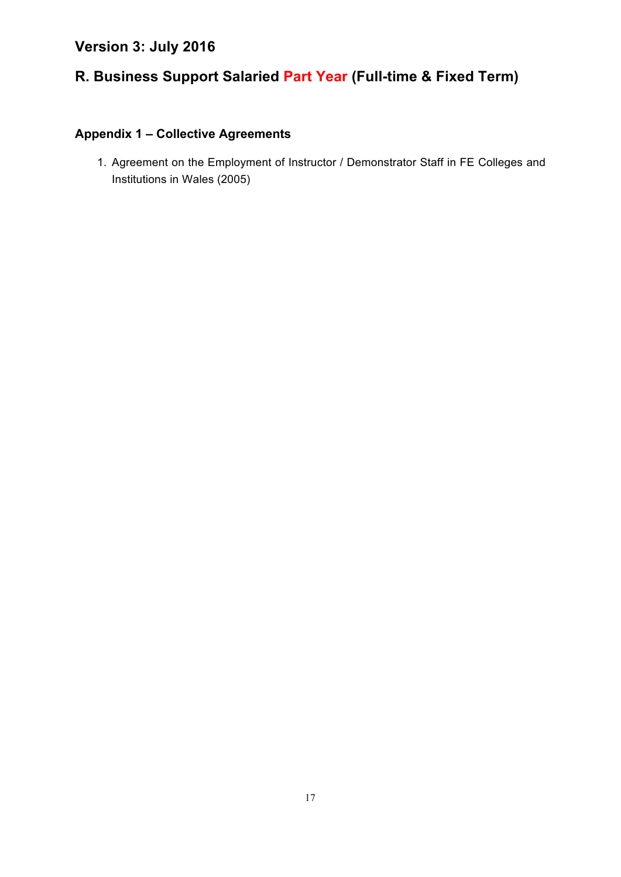# **R. Business Support Salaried Part Year (Full-time & Fixed Term)**

## **Appendix 1 – Collective Agreements**

1. Agreement on the Employment of Instructor / Demonstrator Staff in FE Colleges and Institutions in Wales (2005)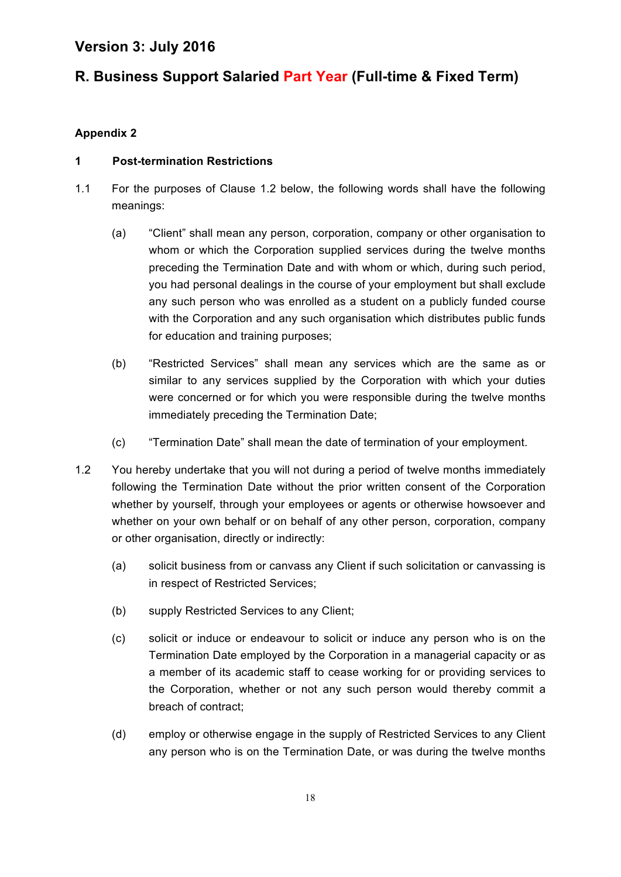# **R. Business Support Salaried Part Year (Full-time & Fixed Term)**

### **Appendix 2**

### **1 Post-termination Restrictions**

- 1.1 For the purposes of Clause 1.2 below, the following words shall have the following meanings:
	- (a) "Client" shall mean any person, corporation, company or other organisation to whom or which the Corporation supplied services during the twelve months preceding the Termination Date and with whom or which, during such period, you had personal dealings in the course of your employment but shall exclude any such person who was enrolled as a student on a publicly funded course with the Corporation and any such organisation which distributes public funds for education and training purposes;
	- (b) "Restricted Services" shall mean any services which are the same as or similar to any services supplied by the Corporation with which your duties were concerned or for which you were responsible during the twelve months immediately preceding the Termination Date;
	- (c) "Termination Date" shall mean the date of termination of your employment.
- 1.2 You hereby undertake that you will not during a period of twelve months immediately following the Termination Date without the prior written consent of the Corporation whether by yourself, through your employees or agents or otherwise howsoever and whether on your own behalf or on behalf of any other person, corporation, company or other organisation, directly or indirectly:
	- (a) solicit business from or canvass any Client if such solicitation or canvassing is in respect of Restricted Services;
	- (b) supply Restricted Services to any Client;
	- (c) solicit or induce or endeavour to solicit or induce any person who is on the Termination Date employed by the Corporation in a managerial capacity or as a member of its academic staff to cease working for or providing services to the Corporation, whether or not any such person would thereby commit a breach of contract;
	- (d) employ or otherwise engage in the supply of Restricted Services to any Client any person who is on the Termination Date, or was during the twelve months